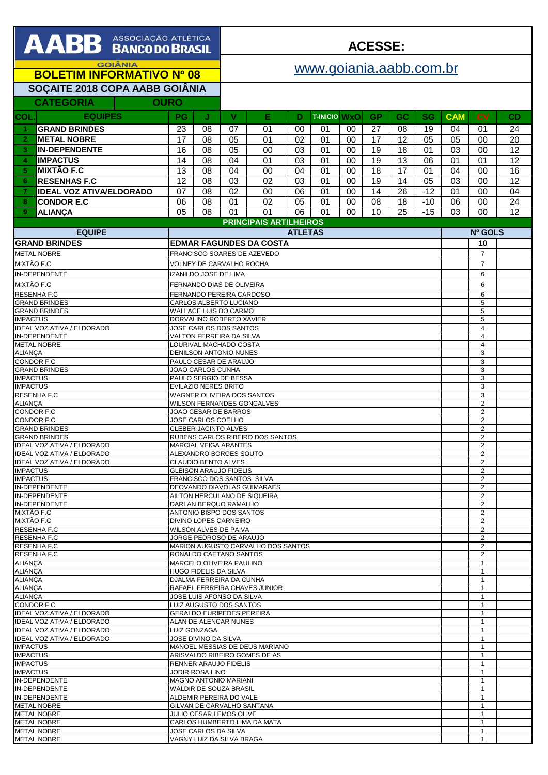| AABB ASSOCIAÇÃO ATLÉTICA                                               |                                                                                     |                                                    | <b>ACESSE:</b>                                            |                             |          |                     |              |                            |                       |                |                                  |                     |                       |
|------------------------------------------------------------------------|-------------------------------------------------------------------------------------|----------------------------------------------------|-----------------------------------------------------------|-----------------------------|----------|---------------------|--------------|----------------------------|-----------------------|----------------|----------------------------------|---------------------|-----------------------|
| <b>GOIÂNIA</b><br><b>BOLETIM INFORMATIVO Nº 08</b>                     |                                                                                     |                                                    |                                                           | www.goiania.aabb.com.br     |          |                     |              |                            |                       |                |                                  |                     |                       |
| SOÇAITE 2018 COPA AABB GOIÂNIA                                         |                                                                                     |                                                    |                                                           |                             |          |                     |              |                            |                       |                |                                  |                     |                       |
| <b>CATEGORIA</b><br><b>OURO</b>                                        |                                                                                     |                                                    |                                                           |                             |          |                     |              |                            |                       |                |                                  |                     |                       |
| <b>EQUIPES</b><br><b>COL.</b>                                          | <b>PG</b>                                                                           | J                                                  | $\mathbf{V}$                                              | Е                           | D        | <b>T-INICIO WXO</b> |              | <b>GP</b>                  | GC                    | <b>SG</b>      | <b>CAM</b>                       | <b>CV</b>           | CD                    |
| <b>GRAND BRINDES</b>                                                   | 23                                                                                  | 08                                                 | 07                                                        | 01                          | 00       | 01                  | 00           | 27                         | 08                    | 19             | 04                               | 01                  | 24                    |
| <b>METAL NOBRE</b><br>2                                                | 17                                                                                  | 08                                                 | 05                                                        | 01                          | 02       | 01                  | 00           | 17                         | 12                    | 05             | 05                               | 00                  | 20                    |
| <b>IN-DEPENDENTE</b><br>3                                              | 16                                                                                  | 08                                                 | 05                                                        | 00                          | 03       | 01                  | 00           | 19                         | 18                    | 01             | 03                               | 00                  | 12                    |
| <b>IMPACTUS</b><br>$\blacktriangle$<br><b>MIXTÃO F.C</b><br>5          | 14<br>$\overline{13}$                                                               | 08<br>08                                           | 04<br>04                                                  | 01<br>00                    | 03<br>04 | 01<br>01            | 00<br>00     | 19<br>$\overline{18}$      | 13<br>$\overline{17}$ | 06<br>01       | 01<br>04                         | 01<br>00            | 12<br>$\overline{16}$ |
| <b>RESENHAS F.C</b><br>6                                               | 12                                                                                  | 08                                                 | 03                                                        | 02                          | 03       | 01                  | 00           | 19                         | 14                    | 05             | 03                               | 00                  | $\overline{12}$       |
| <b>IDEAL VOZ ATIVA/ELDORADO</b><br>7                                   | 07                                                                                  | 08                                                 | 02                                                        | 00                          | 06       | 01                  | 00           | $\overline{14}$            | 26                    | $-12$          | 01                               | 00                  | 04                    |
| <b>CONDOR E.C</b><br>8                                                 | 06                                                                                  | 08                                                 | 01                                                        | 02                          | 05       | 01                  | 00           | 08                         | 18                    | $-10$          | 06                               | 00                  | 24                    |
| <b>ALIANÇA</b><br>9                                                    | 05                                                                                  | 08                                                 | 01                                                        | 01                          | 06       | 01                  | 00           | $\overline{10}$            | $\overline{25}$       | $-15$          | 03                               | 00                  | 12                    |
| <b>EQUIPE</b>                                                          |                                                                                     |                                                    | <b>PRINCIPAIS ARTILHEIROS</b><br><b>ATLETAS</b>           |                             |          |                     |              |                            |                       | Nº GOLS        |                                  |                     |                       |
| <b>GRAND BRINDES</b>                                                   |                                                                                     | <b>EDMAR FAGUNDES DA COSTA</b>                     |                                                           |                             |          |                     |              |                            |                       |                | 10                               |                     |                       |
| <b>METAL NOBRE</b>                                                     |                                                                                     |                                                    |                                                           | FRANCISCO SOARES DE AZEVEDO |          |                     |              |                            |                       |                |                                  | $\overline{7}$      |                       |
| MIXTÃO F.C                                                             |                                                                                     |                                                    | VOLNEY DE CARVALHO ROCHA                                  |                             |          |                     |              |                            |                       |                |                                  | $\overline{7}$      |                       |
| <b>IN-DEPENDENTE</b>                                                   |                                                                                     | IZANILDO JOSE DE LIMA                              |                                                           |                             |          |                     |              |                            |                       |                |                                  | 6                   |                       |
| <b>MIXTÃO F.C</b><br><b>RESENHA F.C</b>                                |                                                                                     |                                                    | FERNANDO DIAS DE OLIVEIRA                                 |                             |          |                     |              |                            |                       |                |                                  | 6<br>6              |                       |
| <b>GRAND BRINDES</b>                                                   |                                                                                     | FERNANDO PEREIRA CARDOSO<br>CARLOS ALBERTO LUCIANO |                                                           |                             |          |                     |              |                            |                       |                | 5                                |                     |                       |
| <b>GRAND BRINDES</b>                                                   |                                                                                     |                                                    | WALLACE LUIS DO CARMO                                     |                             |          |                     |              |                            |                       |                |                                  | 5                   |                       |
| <b>IMPACTUS</b><br><b>IDEAL VOZ ATIVA / ELDORADO</b>                   |                                                                                     |                                                    | DORVALINO ROBERTO XAVIER<br>JOSE CARLOS DOS SANTOS        |                             |          |                     |              |                            |                       |                |                                  | 5<br>$\overline{4}$ |                       |
| <b>IN-DEPENDENTE</b>                                                   |                                                                                     |                                                    | VALTON FERREIRA DA SILVA                                  |                             |          |                     |              |                            |                       |                |                                  | $\overline{4}$      |                       |
| <b>METAL NOBRE</b><br><b>ALIANCA</b>                                   |                                                                                     |                                                    | LOURIVAL MACHADO COSTA<br>DENILSON ANTONIO NUNES          |                             |          |                     |              |                            |                       |                |                                  | $\overline{4}$<br>3 |                       |
| <b>CONDOR F.C</b>                                                      |                                                                                     |                                                    | PAULO CESAR DE ARAUJO                                     |                             |          |                     |              |                            |                       |                |                                  | 3                   |                       |
| <b>GRAND BRINDES</b><br><b>IMPACTUS</b>                                |                                                                                     | JOAO CARLOS CUNHA                                  | PAULO SERGIO DE BESSA                                     |                             |          |                     |              |                            |                       |                |                                  | 3<br>3              |                       |
| <b>IMPACTUS</b>                                                        |                                                                                     | EVILAZIO NERES BRITO                               |                                                           |                             |          |                     |              |                            |                       |                |                                  | 3                   |                       |
| RESENHA F.C<br><b>ALIANÇA</b>                                          |                                                                                     |                                                    |                                                           | WAGNER OLIVEIRA DOS SANTOS  |          |                     |              |                            |                       |                |                                  | 3<br>$\overline{2}$ |                       |
| CONDOR F.C                                                             | WILSON FERNANDES GONÇALVES<br>JOAO CESAR DE BARROS                                  |                                                    |                                                           |                             |          |                     |              |                            |                       |                | $\overline{2}$                   |                     |                       |
| CONDOR F.C                                                             |                                                                                     | JOSE CARLOS COELHO<br><b>CLEBER JACINTO ALVES</b>  |                                                           |                             |          |                     |              |                            |                       |                |                                  | $\overline{2}$      |                       |
| <b>GRAND BRINDES</b><br><b>GRAND BRINDES</b>                           | RUBENS CARLOS RIBEIRO DOS SANTOS                                                    |                                                    |                                                           |                             |          |                     |              |                            |                       |                | $\overline{2}$<br>$\overline{2}$ |                     |                       |
| IDEAL VOZ ATIVA / ELDORADO                                             |                                                                                     |                                                    | MARCIAL VEIGA ARANTES                                     |                             |          |                     |              |                            |                       |                |                                  | 2                   |                       |
| <b>IDEAL VOZ ATIVA / ELDORADO</b><br><b>IDEAL VOZ ATIVA / ELDORADO</b> |                                                                                     |                                                    | ALEXANDRO BORGES SOUTO<br>CLAUDIO BENTO ALVES             |                             |          |                     |              |                            |                       |                |                                  | 2<br>2              |                       |
| <b>IMPACTUS</b><br><b>GLEISON ARAUJO FIDELIS</b>                       |                                                                                     |                                                    |                                                           |                             |          |                     |              |                            |                       |                | 2                                |                     |                       |
| <b>IMPACTUS</b><br>IN-DEPENDENTE                                       |                                                                                     |                                                    | FRANCISCO DOS SANTOS SILVA<br>DEOVANDO DIAVOLAS GUIMARAES |                             |          |                     |              |                            |                       |                | $\overline{2}$<br>2              |                     |                       |
| IN-DEPENDENTE                                                          | AILTON HERCULANO DE SIQUEIRA                                                        |                                                    |                                                           |                             |          |                     |              |                            |                       |                | $\overline{2}$                   |                     |                       |
| IN-DEPENDENTE<br><b>MIXTÃO F.C</b>                                     | DARLAN BERQUO RAMALHO<br>ANTONIO BISPO DOS SANTOS                                   |                                                    |                                                           |                             |          |                     |              |                            |                       |                | $\overline{2}$<br>$\overline{2}$ |                     |                       |
| <b>MIXTÃO F.C</b>                                                      | DIVINO LOPES CARNEIRO                                                               |                                                    |                                                           |                             |          |                     |              |                            |                       |                | 2                                |                     |                       |
| <b>RESENHAF.C</b>                                                      |                                                                                     |                                                    | WILSON ALVES DE PAIVA<br>JORGE PEDROSO DE ARAUJO          |                             |          |                     |              |                            |                       |                |                                  | 2                   |                       |
| <b>RESENHA F.C</b><br><b>RESENHAF.C</b>                                |                                                                                     |                                                    | MARION AUGUSTO CARVALHO DOS SANTOS                        |                             |          |                     |              |                            |                       |                | 2<br>$\overline{2}$              |                     |                       |
| <b>RESENHA F.C</b>                                                     |                                                                                     | RONALDO CAETANO SANTOS                             |                                                           |                             |          |                     |              |                            |                       | $\overline{2}$ |                                  |                     |                       |
| <b>ALIANÇA</b><br><b>ALIANÇA</b>                                       |                                                                                     | MARCELO OLIVEIRA PAULINO<br>HUGO FIDELIS DA SILVA  |                                                           |                             |          |                     |              |                            |                       |                |                                  |                     |                       |
| <b>ALIANÇA</b>                                                         | DJALMA FERREIRA DA CUNHA                                                            |                                                    |                                                           |                             |          |                     |              |                            |                       |                |                                  |                     |                       |
| <b>ALIANÇA</b><br><b>ALIANÇA</b>                                       | RAFAEL FERREIRA CHAVES JUNIOR                                                       |                                                    |                                                           |                             |          |                     |              | 1<br>-1                    |                       |                |                                  |                     |                       |
| CONDOR F.C                                                             | JOSE LUIS AFONSO DA SILVA<br>LUIZ AUGUSTO DOS SANTOS                                |                                                    |                                                           |                             |          |                     | $\mathbf 1$  |                            |                       |                |                                  |                     |                       |
| <b>IDEAL VOZ ATIVA / ELDORADO</b>                                      | <b>GERALDO EURIPEDES PEREIRA</b>                                                    |                                                    |                                                           |                             |          |                     | -1           |                            |                       |                |                                  |                     |                       |
| <b>IDEAL VOZ ATIVA / ELDORADO</b><br><b>IDEAL VOZ ATIVA / ELDORADO</b> | ALAN DE ALENCAR NUNES<br>LUIZ GONZAGA                                               |                                                    |                                                           |                             |          | $\mathbf{1}$<br>-1  |              |                            |                       |                |                                  |                     |                       |
| <b>IDEAL VOZ ATIVA / ELDORADO</b>                                      | JOSE DIVINO DA SILVA                                                                |                                                    |                                                           |                             |          |                     | $\mathbf{1}$ |                            |                       |                |                                  |                     |                       |
| <b>IMPACTUS</b><br><b>IMPACTUS</b>                                     | MANOEL MESSIAS DE DEUS MARIANO<br>ARISVALDO RIBEIRO GOMES DE AS                     |                                                    |                                                           |                             |          |                     |              | 1<br>-1                    |                       |                |                                  |                     |                       |
| <b>IMPACTUS</b>                                                        | RENNER ARAUJO FIDELIS                                                               |                                                    |                                                           |                             |          |                     |              | -1                         |                       |                |                                  |                     |                       |
| <b>IMPACTUS</b><br>IN-DEPENDENTE                                       | <b>JODIR ROSA LINO</b><br>MAGNO ANTONIO MARIANI                                     |                                                    |                                                           |                             |          |                     |              | $\mathbf 1$<br>$\mathbf 1$ |                       |                |                                  |                     |                       |
| IN-DEPENDENTE                                                          |                                                                                     |                                                    | WALDIR DE SOUZA BRASIL                                    |                             |          |                     |              |                            |                       |                | $\mathbf 1$                      |                     |                       |
| IN-DEPENDENTE                                                          | ALDEMIR PEREIRA DO VALE<br>$\mathbf 1$                                              |                                                    |                                                           |                             |          |                     |              |                            |                       |                |                                  |                     |                       |
| <b>METAL NOBRE</b><br><b>METAL NOBRE</b>                               | GILVAN DE CARVALHO SANTANA<br>$\mathbf 1$<br>JULIO CESAR LEMOS OLIVE<br>$\mathbf 1$ |                                                    |                                                           |                             |          |                     |              |                            |                       |                |                                  |                     |                       |
| <b>METAL NOBRE</b>                                                     | CARLOS HUMBERTO LIMA DA MATA<br>$\mathbf{1}$                                        |                                                    |                                                           |                             |          |                     |              |                            |                       |                |                                  |                     |                       |
| <b>METAL NOBRE</b><br><b>METAL NOBRE</b>                               | JOSE CARLOS DA SILVA<br>$\mathbf{1}$<br>VAGNY LUIZ DA SILVA BRAGA<br>$\mathbf{1}$   |                                                    |                                                           |                             |          |                     |              |                            |                       |                |                                  |                     |                       |